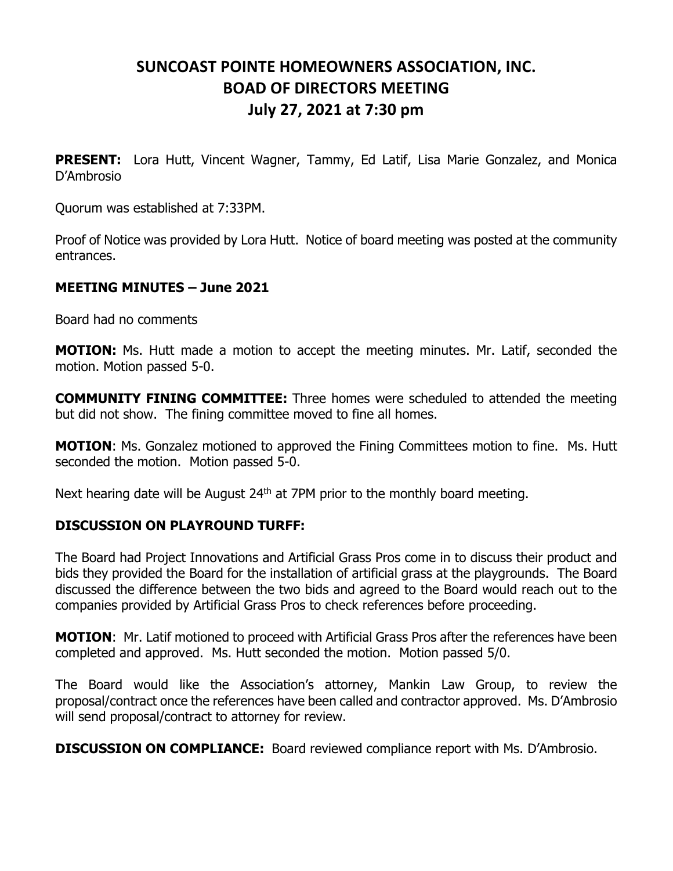## **SUNCOAST POINTE HOMEOWNERS ASSOCIATION, INC. BOAD OF DIRECTORS MEETING July 27, 2021 at 7:30 pm**

**PRESENT:** Lora Hutt, Vincent Wagner, Tammy, Ed Latif, Lisa Marie Gonzalez, and Monica D'Ambrosio

Quorum was established at 7:33PM.

Proof of Notice was provided by Lora Hutt. Notice of board meeting was posted at the community entrances.

## **MEETING MINUTES – June 2021**

Board had no comments

**MOTION:** Ms. Hutt made a motion to accept the meeting minutes. Mr. Latif, seconded the motion. Motion passed 5-0.

**COMMUNITY FINING COMMITTEE:** Three homes were scheduled to attended the meeting but did not show. The fining committee moved to fine all homes.

**MOTION:** Ms. Gonzalez motioned to approved the Fining Committees motion to fine. Ms. Hutt seconded the motion. Motion passed 5-0.

Next hearing date will be August  $24<sup>th</sup>$  at 7PM prior to the monthly board meeting.

## **DISCUSSION ON PLAYROUND TURFF:**

The Board had Project Innovations and Artificial Grass Pros come in to discuss their product and bids they provided the Board for the installation of artificial grass at the playgrounds. The Board discussed the difference between the two bids and agreed to the Board would reach out to the companies provided by Artificial Grass Pros to check references before proceeding.

**MOTION**: Mr. Latif motioned to proceed with Artificial Grass Pros after the references have been completed and approved. Ms. Hutt seconded the motion. Motion passed 5/0.

The Board would like the Association's attorney, Mankin Law Group, to review the proposal/contract once the references have been called and contractor approved. Ms. D'Ambrosio will send proposal/contract to attorney for review.

**DISCUSSION ON COMPLIANCE:** Board reviewed compliance report with Ms. D'Ambrosio.